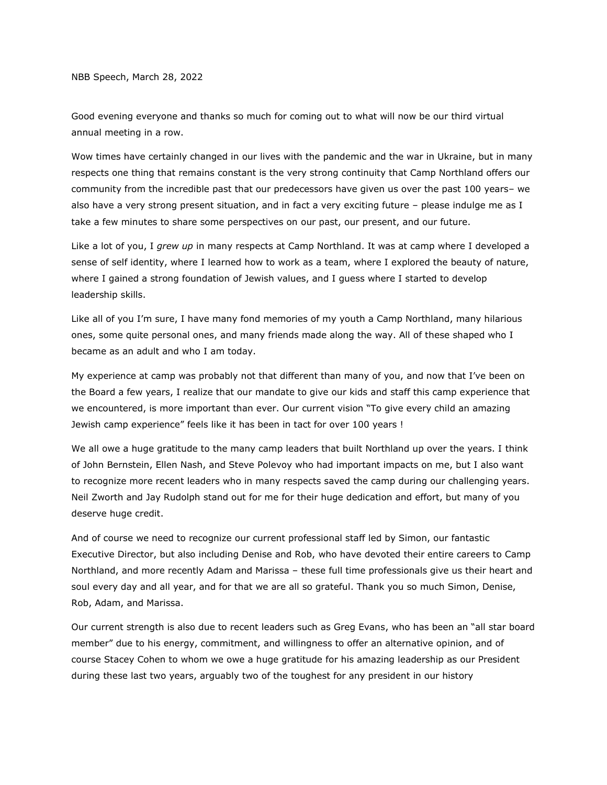NBB Speech, March 28, 2022

Good evening everyone and thanks so much for coming out to what will now be our third virtual annual meeting in a row.

Wow times have certainly changed in our lives with the pandemic and the war in Ukraine, but in many respects one thing that remains constant is the very strong continuity that Camp Northland offers our community from the incredible past that our predecessors have given us over the past 100 years– we also have a very strong present situation, and in fact a very exciting future – please indulge me as I take a few minutes to share some perspectives on our past, our present, and our future.

Like a lot of you, I *grew up* in many respects at Camp Northland. It was at camp where I developed a sense of self identity, where I learned how to work as a team, where I explored the beauty of nature, where I gained a strong foundation of Jewish values, and I guess where I started to develop leadership skills.

Like all of you I'm sure, I have many fond memories of my youth a Camp Northland, many hilarious ones, some quite personal ones, and many friends made along the way. All of these shaped who I became as an adult and who I am today.

My experience at camp was probably not that different than many of you, and now that I've been on the Board a few years, I realize that our mandate to give our kids and staff this camp experience that we encountered, is more important than ever. Our current vision "To give every child an amazing Jewish camp experience" feels like it has been in tact for over 100 years !

We all owe a huge gratitude to the many camp leaders that built Northland up over the years. I think of John Bernstein, Ellen Nash, and Steve Polevoy who had important impacts on me, but I also want to recognize more recent leaders who in many respects saved the camp during our challenging years. Neil Zworth and Jay Rudolph stand out for me for their huge dedication and effort, but many of you deserve huge credit.

And of course we need to recognize our current professional staff led by Simon, our fantastic Executive Director, but also including Denise and Rob, who have devoted their entire careers to Camp Northland, and more recently Adam and Marissa – these full time professionals give us their heart and soul every day and all year, and for that we are all so grateful. Thank you so much Simon, Denise, Rob, Adam, and Marissa.

Our current strength is also due to recent leaders such as Greg Evans, who has been an "all star board member" due to his energy, commitment, and willingness to offer an alternative opinion, and of course Stacey Cohen to whom we owe a huge gratitude for his amazing leadership as our President during these last two years, arguably two of the toughest for any president in our history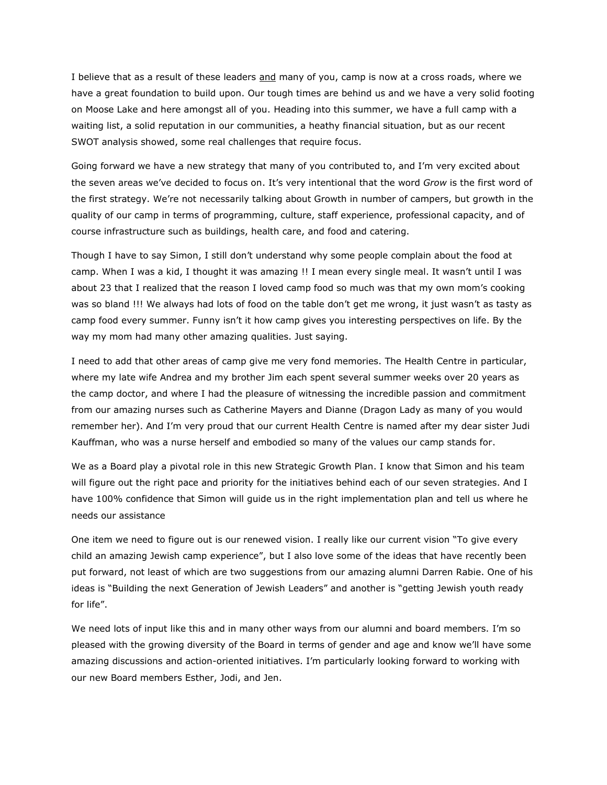I believe that as a result of these leaders and many of you, camp is now at a cross roads, where we have a great foundation to build upon. Our tough times are behind us and we have a very solid footing on Moose Lake and here amongst all of you. Heading into this summer, we have a full camp with a waiting list, a solid reputation in our communities, a heathy financial situation, but as our recent SWOT analysis showed, some real challenges that require focus.

Going forward we have a new strategy that many of you contributed to, and I'm very excited about the seven areas we've decided to focus on. It's very intentional that the word *Grow* is the first word of the first strategy. We're not necessarily talking about Growth in number of campers, but growth in the quality of our camp in terms of programming, culture, staff experience, professional capacity, and of course infrastructure such as buildings, health care, and food and catering.

Though I have to say Simon, I still don't understand why some people complain about the food at camp. When I was a kid, I thought it was amazing !! I mean every single meal. It wasn't until I was about 23 that I realized that the reason I loved camp food so much was that my own mom's cooking was so bland !!! We always had lots of food on the table don't get me wrong, it just wasn't as tasty as camp food every summer. Funny isn't it how camp gives you interesting perspectives on life. By the way my mom had many other amazing qualities. Just saying.

I need to add that other areas of camp give me very fond memories. The Health Centre in particular, where my late wife Andrea and my brother Jim each spent several summer weeks over 20 years as the camp doctor, and where I had the pleasure of witnessing the incredible passion and commitment from our amazing nurses such as Catherine Mayers and Dianne (Dragon Lady as many of you would remember her). And I'm very proud that our current Health Centre is named after my dear sister Judi Kauffman, who was a nurse herself and embodied so many of the values our camp stands for.

We as a Board play a pivotal role in this new Strategic Growth Plan. I know that Simon and his team will figure out the right pace and priority for the initiatives behind each of our seven strategies. And I have 100% confidence that Simon will guide us in the right implementation plan and tell us where he needs our assistance

One item we need to figure out is our renewed vision. I really like our current vision "To give every child an amazing Jewish camp experience", but I also love some of the ideas that have recently been put forward, not least of which are two suggestions from our amazing alumni Darren Rabie. One of his ideas is "Building the next Generation of Jewish Leaders" and another is "getting Jewish youth ready for life".

We need lots of input like this and in many other ways from our alumni and board members. I'm so pleased with the growing diversity of the Board in terms of gender and age and know we'll have some amazing discussions and action-oriented initiatives. I'm particularly looking forward to working with our new Board members Esther, Jodi, and Jen.